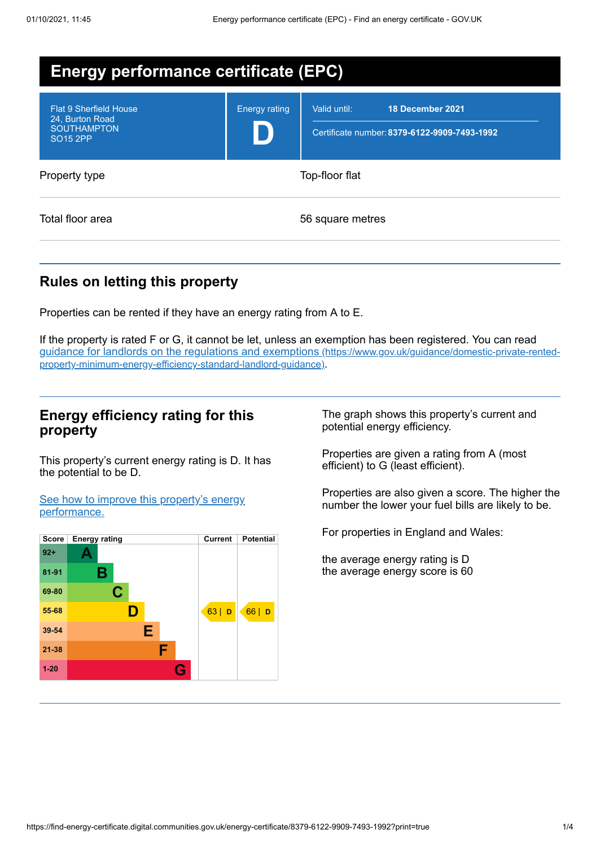| <b>Energy performance certificate (EPC)</b>                                                          |                      |                                                                                  |  |  |
|------------------------------------------------------------------------------------------------------|----------------------|----------------------------------------------------------------------------------|--|--|
| <b>Flat 9 Sherfield House</b><br>24, Burton Road<br><b>SOUTHAMPTON</b><br><b>SO<sub>15</sub></b> 2PP | <b>Energy rating</b> | 18 December 2021<br>Valid until:<br>Certificate number: 8379-6122-9909-7493-1992 |  |  |
| Property type                                                                                        | Top-floor flat       |                                                                                  |  |  |
| Total floor area                                                                                     |                      | 56 square metres                                                                 |  |  |

## **Rules on letting this property**

Properties can be rented if they have an energy rating from A to E.

If the property is rated F or G, it cannot be let, unless an exemption has been registered. You can read guidance for landlords on the regulations and exemptions (https://www.gov.uk/guidance/domestic-private-rented[property-minimum-energy-efficiency-standard-landlord-guidance\)](https://www.gov.uk/guidance/domestic-private-rented-property-minimum-energy-efficiency-standard-landlord-guidance).

## **Energy efficiency rating for this property**

This property's current energy rating is D. It has the potential to be D.

See how to improve this property's energy [performance.](#page-2-0)



The graph shows this property's current and potential energy efficiency.

Properties are given a rating from A (most efficient) to G (least efficient).

Properties are also given a score. The higher the number the lower your fuel bills are likely to be.

For properties in England and Wales:

the average energy rating is D the average energy score is 60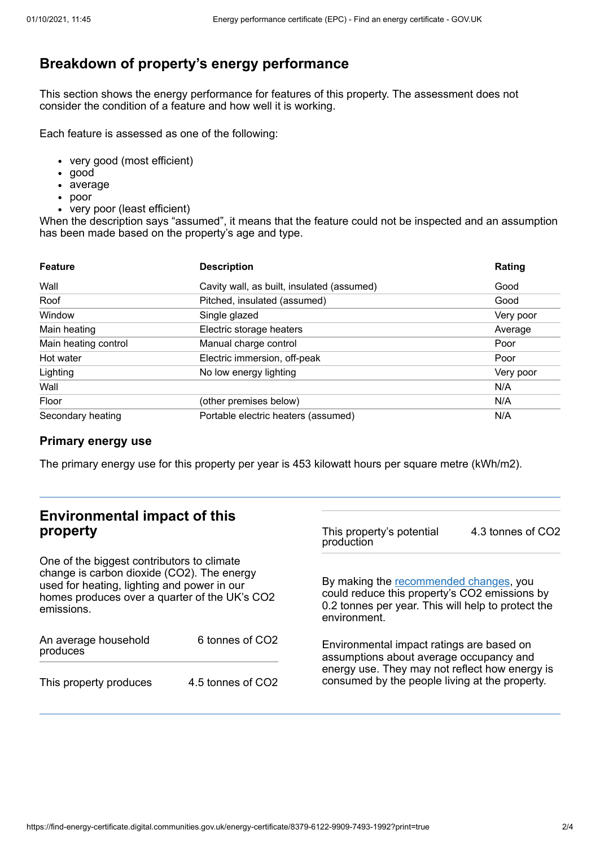# **Breakdown of property's energy performance**

This section shows the energy performance for features of this property. The assessment does not consider the condition of a feature and how well it is working.

Each feature is assessed as one of the following:

- very good (most efficient)
- good
- average
- poor
- very poor (least efficient)

When the description says "assumed", it means that the feature could not be inspected and an assumption has been made based on the property's age and type.

| <b>Feature</b>       | <b>Description</b>                         | Rating    |
|----------------------|--------------------------------------------|-----------|
| Wall                 | Cavity wall, as built, insulated (assumed) | Good      |
| Roof                 | Pitched, insulated (assumed)               | Good      |
| Window               | Single glazed                              | Very poor |
| Main heating         | Electric storage heaters                   | Average   |
| Main heating control | Manual charge control                      | Poor      |
| Hot water            | Electric immersion, off-peak               | Poor      |
| Lighting             | No low energy lighting                     | Very poor |
| Wall                 |                                            | N/A       |
| Floor                | (other premises below)                     | N/A       |
| Secondary heating    | Portable electric heaters (assumed)        | N/A       |

### **Primary energy use**

The primary energy use for this property per year is 453 kilowatt hours per square metre (kWh/m2).

# **Environmental impact of this property**

One of the biggest contributors to climate change is carbon dioxide (CO2). The energy used for heating, lighting and power in our homes produces over a quarter of the UK's CO2 emissions.

| An average household<br>produces | 6 tonnes of CO <sub>2</sub> |  |
|----------------------------------|-----------------------------|--|
| This property produces           | 4.5 tonnes of CO2           |  |

This property's potential production 4.3 tonnes of CO2

By making the [recommended](#page-2-0) changes, you could reduce this property's CO2 emissions by 0.2 tonnes per year. This will help to protect the environment.

Environmental impact ratings are based on assumptions about average occupancy and energy use. They may not reflect how energy is consumed by the people living at the property.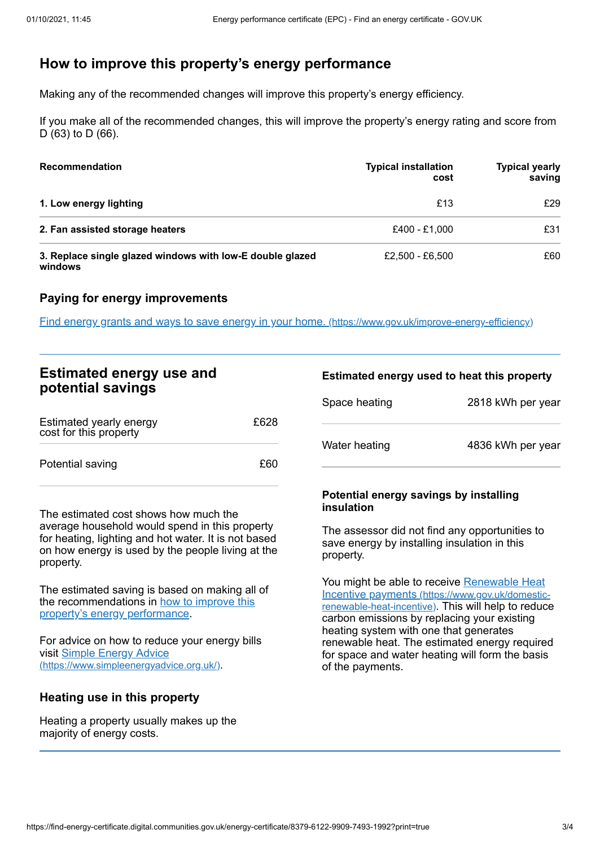# <span id="page-2-0"></span>**How to improve this property's energy performance**

Making any of the recommended changes will improve this property's energy efficiency.

If you make all of the recommended changes, this will improve the property's energy rating and score from D (63) to D (66).

| <b>Recommendation</b>                                                | <b>Typical installation</b><br>cost | <b>Typical yearly</b><br>saving |
|----------------------------------------------------------------------|-------------------------------------|---------------------------------|
| 1. Low energy lighting                                               | £13                                 | £29                             |
| 2. Fan assisted storage heaters                                      | £400 - £1.000                       | £31                             |
| 3. Replace single glazed windows with low-E double glazed<br>windows | £2.500 - £6.500                     | £60                             |

### **Paying for energy improvements**

Find energy grants and ways to save energy in your home. [\(https://www.gov.uk/improve-energy-efficiency\)](https://www.gov.uk/improve-energy-efficiency)

| <b>Estimated energy use and</b><br>potential savings |      | <b>Estim</b> |  |
|------------------------------------------------------|------|--------------|--|
|                                                      |      | Space        |  |
| Estimated yearly energy<br>cost for this property    | £628 |              |  |
| Potential saving                                     | £60  | Water        |  |

The estimated cost shows how much the average household would spend in this property for heating, lighting and hot water. It is not based on how energy is used by the people living at the property.

The estimated saving is based on making all of the [recommendations](#page-2-0) in how to improve this property's energy performance.

For advice on how to reduce your energy bills visit Simple Energy Advice [\(https://www.simpleenergyadvice.org.uk/\)](https://www.simpleenergyadvice.org.uk/).

### **Heating use in this property**

Heating a property usually makes up the majority of energy costs.

## **Estimated energy used to heat this property**

| Space heating | 2818 kWh per year |
|---------------|-------------------|
| Water heating | 4836 kWh per year |

#### **Potential energy savings by installing insulation**

The assessor did not find any opportunities to save energy by installing insulation in this property.

You might be able to receive Renewable Heat Incentive payments [\(https://www.gov.uk/domestic](https://www.gov.uk/domestic-renewable-heat-incentive)renewable-heat-incentive). This will help to reduce carbon emissions by replacing your existing heating system with one that generates renewable heat. The estimated energy required for space and water heating will form the basis of the payments.